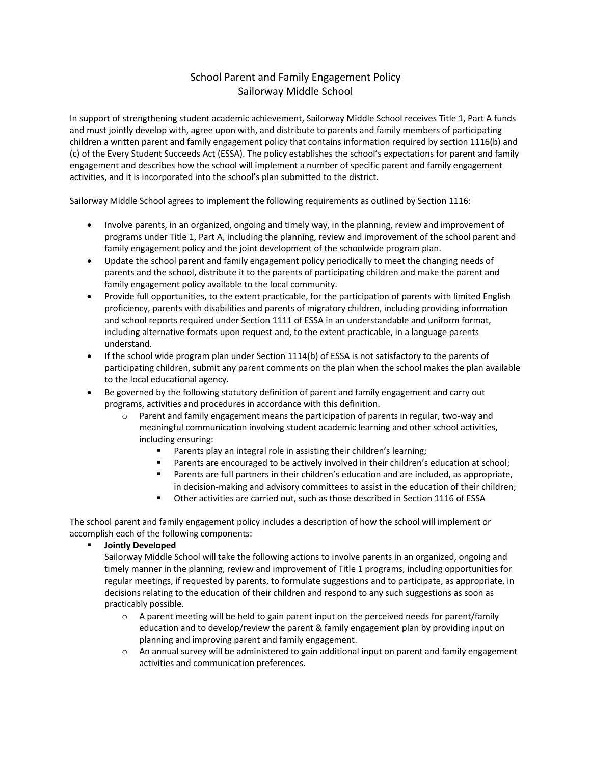# School Parent and Family Engagement Policy Sailorway Middle School

In support of strengthening student academic achievement, Sailorway Middle School receives Title 1, Part A funds and must jointly develop with, agree upon with, and distribute to parents and family members of participating children a written parent and family engagement policy that contains information required by section 1116(b) and (c) of the Every Student Succeeds Act (ESSA). The policy establishes the school's expectations for parent and family engagement and describes how the school will implement a number of specific parent and family engagement activities, and it is incorporated into the school's plan submitted to the district.

Sailorway Middle School agrees to implement the following requirements as outlined by Section 1116:

- Involve parents, in an organized, ongoing and timely way, in the planning, review and improvement of programs under Title 1, Part A, including the planning, review and improvement of the school parent and family engagement policy and the joint development of the schoolwide program plan.
- Update the school parent and family engagement policy periodically to meet the changing needs of parents and the school, distribute it to the parents of participating children and make the parent and family engagement policy available to the local community.
- Provide full opportunities, to the extent practicable, for the participation of parents with limited English proficiency, parents with disabilities and parents of migratory children, including providing information and school reports required under Section 1111 of ESSA in an understandable and uniform format, including alternative formats upon request and, to the extent practicable, in a language parents understand.
- If the school wide program plan under Section 1114(b) of ESSA is not satisfactory to the parents of participating children, submit any parent comments on the plan when the school makes the plan available to the local educational agency.
- Be governed by the following statutory definition of parent and family engagement and carry out programs, activities and procedures in accordance with this definition.
	- $\circ$  Parent and family engagement means the participation of parents in regular, two-way and meaningful communication involving student academic learning and other school activities, including ensuring:
		- Parents play an integral role in assisting their children's learning;
		- Parents are encouraged to be actively involved in their children's education at school;
		- Parents are full partners in their children's education and are included, as appropriate, in decision-making and advisory committees to assist in the education of their children;
		- § Other activities are carried out, such as those described in Section 1116 of ESSA

The school parent and family engagement policy includes a description of how the school will implement or accomplish each of the following components:

§ **Jointly Developed**

Sailorway Middle School will take the following actions to involve parents in an organized, ongoing and timely manner in the planning, review and improvement of Title 1 programs, including opportunities for regular meetings, if requested by parents, to formulate suggestions and to participate, as appropriate, in decisions relating to the education of their children and respond to any such suggestions as soon as practicably possible.

- $\circ$  A parent meeting will be held to gain parent input on the perceived needs for parent/family education and to develop/review the parent & family engagement plan by providing input on planning and improving parent and family engagement.
- $\circ$  An annual survey will be administered to gain additional input on parent and family engagement activities and communication preferences.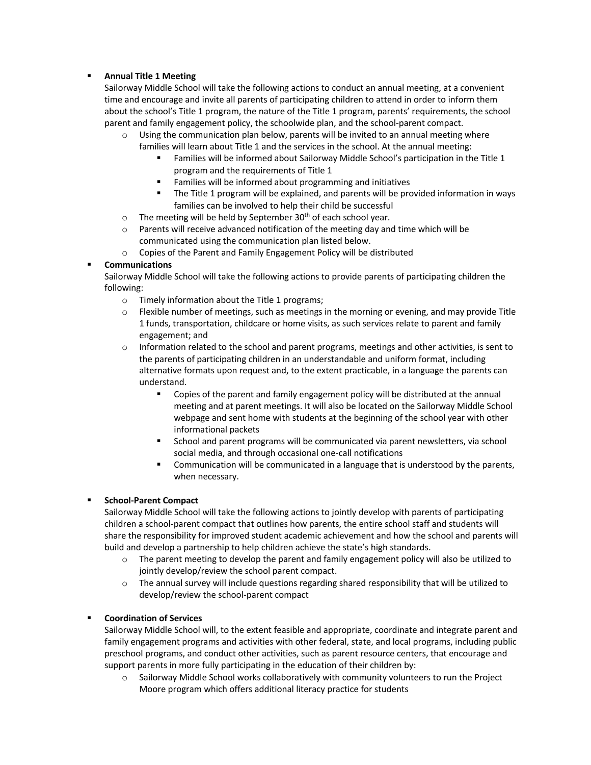## § **Annual Title 1 Meeting**

Sailorway Middle School will take the following actions to conduct an annual meeting, at a convenient time and encourage and invite all parents of participating children to attend in order to inform them about the school's Title 1 program, the nature of the Title 1 program, parents' requirements, the school parent and family engagement policy, the schoolwide plan, and the school-parent compact.

- $\circ$  Using the communication plan below, parents will be invited to an annual meeting where families will learn about Title 1 and the services in the school. At the annual meeting:
	- Families will be informed about Sailorway Middle School's participation in the Title 1 program and the requirements of Title 1
	- Families will be informed about programming and initiatives
	- § The Title 1 program will be explained, and parents will be provided information in ways families can be involved to help their child be successful
- $\circ$  The meeting will be held by September 30<sup>th</sup> of each school year.
- $\circ$  Parents will receive advanced notification of the meeting day and time which will be communicated using the communication plan listed below.
- o Copies of the Parent and Family Engagement Policy will be distributed

### § **Communications**

Sailorway Middle School will take the following actions to provide parents of participating children the following:

- o Timely information about the Title 1 programs;
- $\circ$  Flexible number of meetings, such as meetings in the morning or evening, and may provide Title 1 funds, transportation, childcare or home visits, as such services relate to parent and family engagement; and
- $\circ$  Information related to the school and parent programs, meetings and other activities, is sent to the parents of participating children in an understandable and uniform format, including alternative formats upon request and, to the extent practicable, in a language the parents can understand.
	- § Copies of the parent and family engagement policy will be distributed at the annual meeting and at parent meetings. It will also be located on the Sailorway Middle School webpage and sent home with students at the beginning of the school year with other informational packets
	- School and parent programs will be communicated via parent newsletters, via school social media, and through occasional one-call notifications
	- Communication will be communicated in a language that is understood by the parents, when necessary.

# § **School-Parent Compact**

Sailorway Middle School will take the following actions to jointly develop with parents of participating children a school-parent compact that outlines how parents, the entire school staff and students will share the responsibility for improved student academic achievement and how the school and parents will build and develop a partnership to help children achieve the state's high standards.

- $\circ$  The parent meeting to develop the parent and family engagement policy will also be utilized to jointly develop/review the school parent compact.
- $\circ$  The annual survey will include questions regarding shared responsibility that will be utilized to develop/review the school-parent compact

#### § **Coordination of Services**

Sailorway Middle School will, to the extent feasible and appropriate, coordinate and integrate parent and family engagement programs and activities with other federal, state, and local programs, including public preschool programs, and conduct other activities, such as parent resource centers, that encourage and support parents in more fully participating in the education of their children by:

o Sailorway Middle School works collaboratively with community volunteers to run the Project Moore program which offers additional literacy practice for students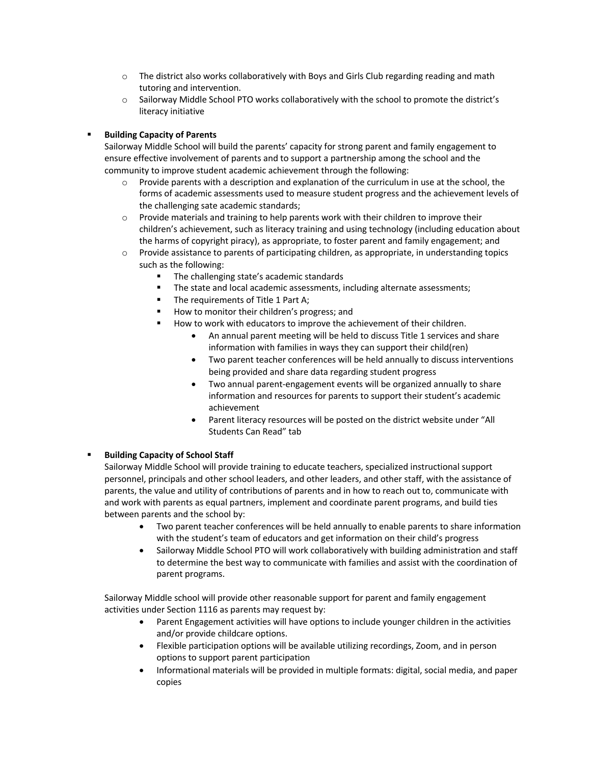- $\circ$  The district also works collaboratively with Boys and Girls Club regarding reading and math tutoring and intervention.
- o Sailorway Middle School PTO works collaboratively with the school to promote the district's literacy initiative

## § **Building Capacity of Parents**

Sailorway Middle School will build the parents' capacity for strong parent and family engagement to ensure effective involvement of parents and to support a partnership among the school and the community to improve student academic achievement through the following:

- $\circ$  Provide parents with a description and explanation of the curriculum in use at the school, the forms of academic assessments used to measure student progress and the achievement levels of the challenging sate academic standards;
- o Provide materials and training to help parents work with their children to improve their children's achievement, such as literacy training and using technology (including education about the harms of copyright piracy), as appropriate, to foster parent and family engagement; and
- $\circ$  Provide assistance to parents of participating children, as appropriate, in understanding topics such as the following:
	- The challenging state's academic standards
	- § The state and local academic assessments, including alternate assessments;
	- The requirements of Title 1 Part A;
	- How to monitor their children's progress; and
	- How to work with educators to improve the achievement of their children.
		- An annual parent meeting will be held to discuss Title 1 services and share information with families in ways they can support their child(ren)
		- Two parent teacher conferences will be held annually to discuss interventions being provided and share data regarding student progress
		- Two annual parent-engagement events will be organized annually to share information and resources for parents to support their student's academic achievement
		- Parent literacy resources will be posted on the district website under "All Students Can Read" tab

# § **Building Capacity of School Staff**

Sailorway Middle School will provide training to educate teachers, specialized instructional support personnel, principals and other school leaders, and other leaders, and other staff, with the assistance of parents, the value and utility of contributions of parents and in how to reach out to, communicate with and work with parents as equal partners, implement and coordinate parent programs, and build ties between parents and the school by:

- Two parent teacher conferences will be held annually to enable parents to share information with the student's team of educators and get information on their child's progress
- Sailorway Middle School PTO will work collaboratively with building administration and staff to determine the best way to communicate with families and assist with the coordination of parent programs.

Sailorway Middle school will provide other reasonable support for parent and family engagement activities under Section 1116 as parents may request by:

- Parent Engagement activities will have options to include younger children in the activities and/or provide childcare options.
- Flexible participation options will be available utilizing recordings, Zoom, and in person options to support parent participation
- Informational materials will be provided in multiple formats: digital, social media, and paper copies